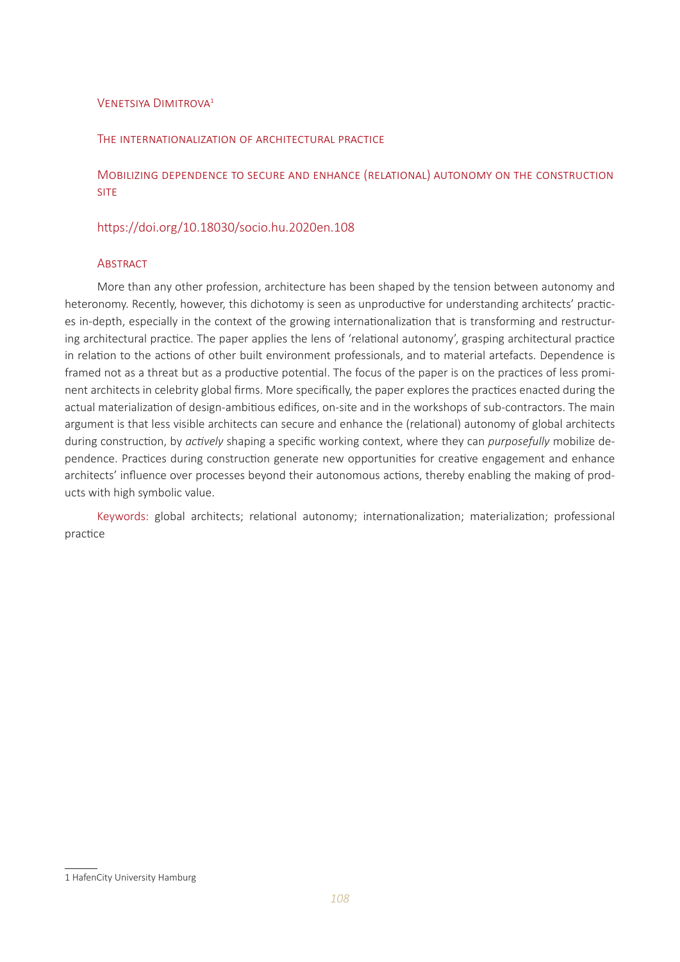# VENETSIYA DIMITROVA<sup>1</sup>

#### The internationalization of architectural practice

Mobilizing dependence to secure and enhance (relational) autonomy on the construction **SITE** 

# https://doi.org/10.18030/socio.hu.2020en.108

#### **ABSTRACT**

More than any other profession, architecture has been shaped by the tension between autonomy and heteronomy. Recently, however, this dichotomy is seen as unproductive for understanding architects' practices in-depth, especially in the context of the growing internationalization that is transforming and restructuring architectural practice. The paper applies the lens of 'relational autonomy', grasping architectural practice in relation to the actions of other built environment professionals, and to material artefacts. Dependence is framed not as a threat but as a productive potential. The focus of the paper is on the practices of less prominent architects in celebrity global firms. More specifically, the paper explores the practices enacted during the actual materialization of design-ambitious edifices, on-site and in the workshops of sub-contractors. The main argument is that less visible architects can secure and enhance the (relational) autonomy of global architects during construction, by *actively* shaping a specific working context, where they can *purposefully* mobilize dependence. Practices during construction generate new opportunities for creative engagement and enhance architects' influence over processes beyond their autonomous actions, thereby enabling the making of products with high symbolic value.

Keywords: global architects; relational autonomy; internationalization; materialization; professional practice

<sup>1</sup> HafenCity University Hamburg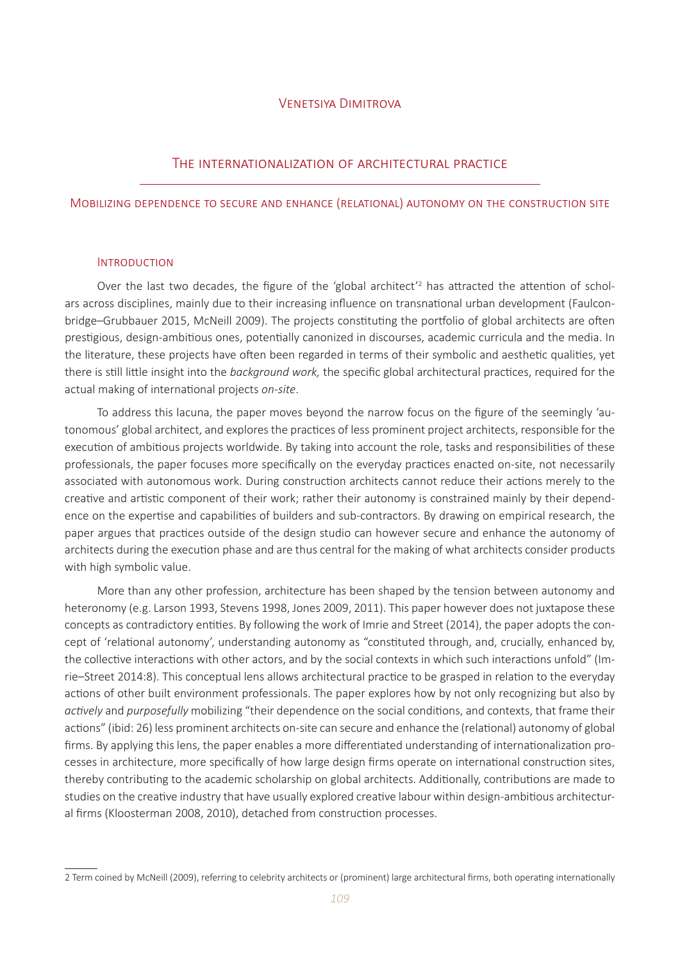#### Venetsiya Dimitrova

#### The internationalization of architectural practice

#### Mobilizing dependence to secure and enhance (relational) autonomy on the construction site

#### **INTRODUCTION**

Over the last two decades, the figure of the 'global architect<sup>'2</sup> has attracted the attention of scholars across disciplines, mainly due to their increasing influence on transnational urban development (Faulconbridge–Grubbauer 2015, McNeill 2009). The projects constituting the portfolio of global architects are often prestigious, design-ambitious ones, potentially canonized in discourses, academic curricula and the media. In the literature, these projects have often been regarded in terms of their symbolic and aesthetic qualities, yet there is still little insight into the *background work,* the specific global architectural practices, required for the actual making of international projects *on-site*.

To address this lacuna, the paper moves beyond the narrow focus on the figure of the seemingly 'autonomous' global architect, and explores the practices of less prominent project architects, responsible for the execution of ambitious projects worldwide. By taking into account the role, tasks and responsibilities of these professionals, the paper focuses more specifically on the everyday practices enacted on-site, not necessarily associated with autonomous work. During construction architects cannot reduce their actions merely to the creative and artistic component of their work; rather their autonomy is constrained mainly by their dependence on the expertise and capabilities of builders and sub-contractors. By drawing on empirical research, the paper argues that practices outside of the design studio can however secure and enhance the autonomy of architects during the execution phase and are thus central for the making of what architects consider products with high symbolic value.

More than any other profession, architecture has been shaped by the tension between autonomy and heteronomy (e.g. Larson 1993, Stevens 1998, Jones 2009, 2011). This paper however does not juxtapose these concepts as contradictory entities. By following the work of Imrie and Street (2014), the paper adopts the concept of 'relational autonomy', understanding autonomy as "constituted through, and, crucially, enhanced by, the collective interactions with other actors, and by the social contexts in which such interactions unfold" (Imrie–Street 2014:8). This conceptual lens allows architectural practice to be grasped in relation to the everyday actions of other built environment professionals. The paper explores how by not only recognizing but also by *actively* and *purposefully* mobilizing "their dependence on the social conditions, and contexts, that frame their actions" (ibid: 26) less prominent architects on-site can secure and enhance the (relational) autonomy of global firms. By applying this lens, the paper enables a more differentiated understanding of internationalization processes in architecture, more specifically of how large design firms operate on international construction sites, thereby contributing to the academic scholarship on global architects. Additionally, contributions are made to studies on the creative industry that have usually explored creative labour within design-ambitious architectural firms (Kloosterman 2008, 2010), detached from construction processes.

<sup>2</sup> Term coined by McNeill (2009), referring to celebrity architects or (prominent) large architectural firms, both operating internationally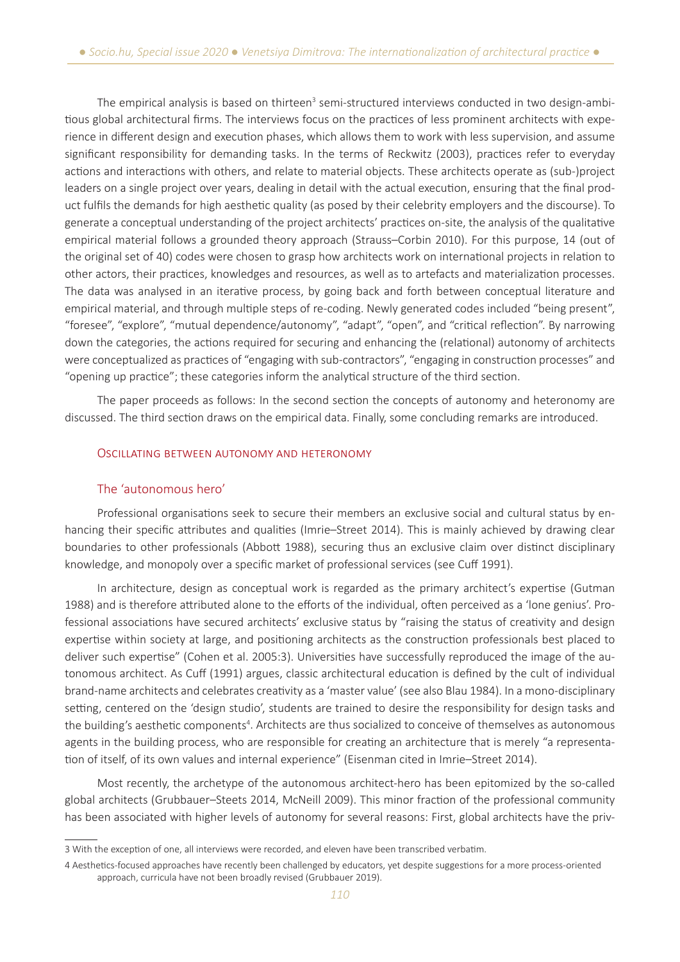The empirical analysis is based on thirteen<sup>3</sup> semi-structured interviews conducted in two design-ambitious global architectural firms. The interviews focus on the practices of less prominent architects with experience in different design and execution phases, which allows them to work with less supervision, and assume significant responsibility for demanding tasks. In the terms of Reckwitz (2003), practices refer to everyday actions and interactions with others, and relate to material objects. These architects operate as (sub-)project leaders on a single project over years, dealing in detail with the actual execution, ensuring that the final product fulfils the demands for high aesthetic quality (as posed by their celebrity employers and the discourse). To generate a conceptual understanding of the project architects' practices on-site, the analysis of the qualitative empirical material follows a grounded theory approach (Strauss–Corbin 2010). For this purpose, 14 (out of the original set of 40) codes were chosen to grasp how architects work on international projects in relation to other actors, their practices, knowledges and resources, as well as to artefacts and materialization processes. The data was analysed in an iterative process, by going back and forth between conceptual literature and empirical material, and through multiple steps of re-coding. Newly generated codes included "being present", "foresee", "explore", "mutual dependence/autonomy", "adapt", "open", and "critical reflection". By narrowing down the categories, the actions required for securing and enhancing the (relational) autonomy of architects were conceptualized as practices of "engaging with sub-contractors", "engaging in construction processes" and "opening up practice"; these categories inform the analytical structure of the third section.

The paper proceeds as follows: In the second section the concepts of autonomy and heteronomy are discussed. The third section draws on the empirical data. Finally, some concluding remarks are introduced.

#### Oscillating between autonomy and heteronomy

# The 'autonomous hero'

Professional organisations seek to secure their members an exclusive social and cultural status by enhancing their specific attributes and qualities (Imrie–Street 2014). This is mainly achieved by drawing clear boundaries to other professionals (Abbott 1988), securing thus an exclusive claim over distinct disciplinary knowledge, and monopoly over a specific market of professional services (see Cuff 1991).

In architecture, design as conceptual work is regarded as the primary architect's expertise (Gutman 1988) and is therefore attributed alone to the efforts of the individual, often perceived as a 'lone genius'. Professional associations have secured architects' exclusive status by "raising the status of creativity and design expertise within society at large, and positioning architects as the construction professionals best placed to deliver such expertise" (Cohen et al. 2005:3). Universities have successfully reproduced the image of the autonomous architect. As Cuff (1991) argues, classic architectural education is defined by the cult of individual brand-name architects and celebrates creativity as a 'master value' (see also Blau 1984). In a mono-disciplinary setting, centered on the 'design studio', students are trained to desire the responsibility for design tasks and the building's aesthetic components<sup>4</sup>. Architects are thus socialized to conceive of themselves as autonomous agents in the building process, who are responsible for creating an architecture that is merely "a representation of itself, of its own values and internal experience" (Eisenman cited in Imrie–Street 2014).

Most recently, the archetype of the autonomous architect-hero has been epitomized by the so-called global architects (Grubbauer–Steets 2014, McNeill 2009). This minor fraction of the professional community has been associated with higher levels of autonomy for several reasons: First, global architects have the priv-

<sup>3</sup> With the exception of one, all interviews were recorded, and eleven have been transcribed verbatim.

<sup>4</sup> Aesthetics-focused approaches have recently been challenged by educators, yet despite suggestions for a more process-oriented approach, curricula have not been broadly revised (Grubbauer 2019).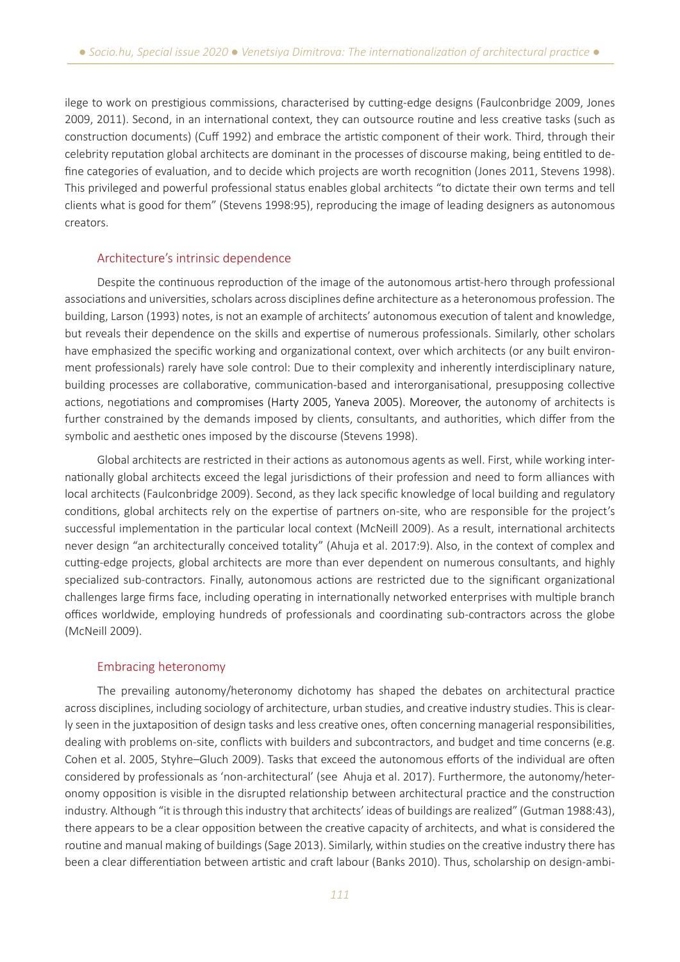ilege to work on prestigious commissions, characterised by cutting-edge designs (Faulconbridge 2009, Jones 2009, 2011). Second, in an international context, they can outsource routine and less creative tasks (such as construction documents) (Cuff 1992) and embrace the artistic component of their work. Third, through their celebrity reputation global architects are dominant in the processes of discourse making, being entitled to define categories of evaluation, and to decide which projects are worth recognition (Jones 2011, Stevens 1998). This privileged and powerful professional status enables global architects "to dictate their own terms and tell clients what is good for them" (Stevens 1998:95), reproducing the image of leading designers as autonomous creators.

# Architecture's intrinsic dependence

Despite the continuous reproduction of the image of the autonomous artist-hero through professional associations and universities, scholars across disciplines define architecture as a heteronomous profession. The building, Larson (1993) notes, is not an example of architects' autonomous execution of talent and knowledge, but reveals their dependence on the skills and expertise of numerous professionals. Similarly, other scholars have emphasized the specific working and organizational context, over which architects (or any built environment professionals) rarely have sole control: Due to their complexity and inherently interdisciplinary nature, building processes are collaborative, communication‐based and interorganisational, presupposing collective actions, negotiations and compromises (Harty 2005, Yaneva 2005). Moreover, the autonomy of architects is further constrained by the demands imposed by clients, consultants, and authorities, which differ from the symbolic and aesthetic ones imposed by the discourse (Stevens 1998).

Global architects are restricted in their actions as autonomous agents as well. First, while working internationally global architects exceed the legal jurisdictions of their profession and need to form alliances with local architects (Faulconbridge 2009). Second, as they lack specific knowledge of local building and regulatory conditions, global architects rely on the expertise of partners on-site, who are responsible for the project's successful implementation in the particular local context (McNeill 2009). As a result, international architects never design "an architecturally conceived totality" (Ahuja et al. 2017:9). Also, in the context of complex and cutting-edge projects, global architects are more than ever dependent on numerous consultants, and highly specialized sub-contractors. Finally, autonomous actions are restricted due to the significant organizational challenges large firms face, including operating in internationally networked enterprises with multiple branch offices worldwide, employing hundreds of professionals and coordinating sub-contractors across the globe (McNeill 2009).

# Embracing heteronomy

The prevailing autonomy/heteronomy dichotomy has shaped the debates on architectural practice across disciplines, including sociology of architecture, urban studies, and creative industry studies. This is clearly seen in the juxtaposition of design tasks and less creative ones, often concerning managerial responsibilities, dealing with problems on-site, conflicts with builders and subcontractors, and budget and time concerns (e.g. Cohen et al. 2005, Styhre–Gluch 2009). Tasks that exceed the autonomous efforts of the individual are often considered by professionals as 'non-architectural' (see Ahuja et al. 2017). Furthermore, the autonomy/heteronomy opposition is visible in the disrupted relationship between architectural practice and the construction industry. Although "it is through this industry that architects' ideas of buildings are realized" (Gutman 1988:43), there appears to be a clear opposition between the creative capacity of architects, and what is considered the routine and manual making of buildings (Sage 2013). Similarly, within studies on the creative industry there has been a clear differentiation between artistic and craft labour (Banks 2010). Thus, scholarship on design-ambi-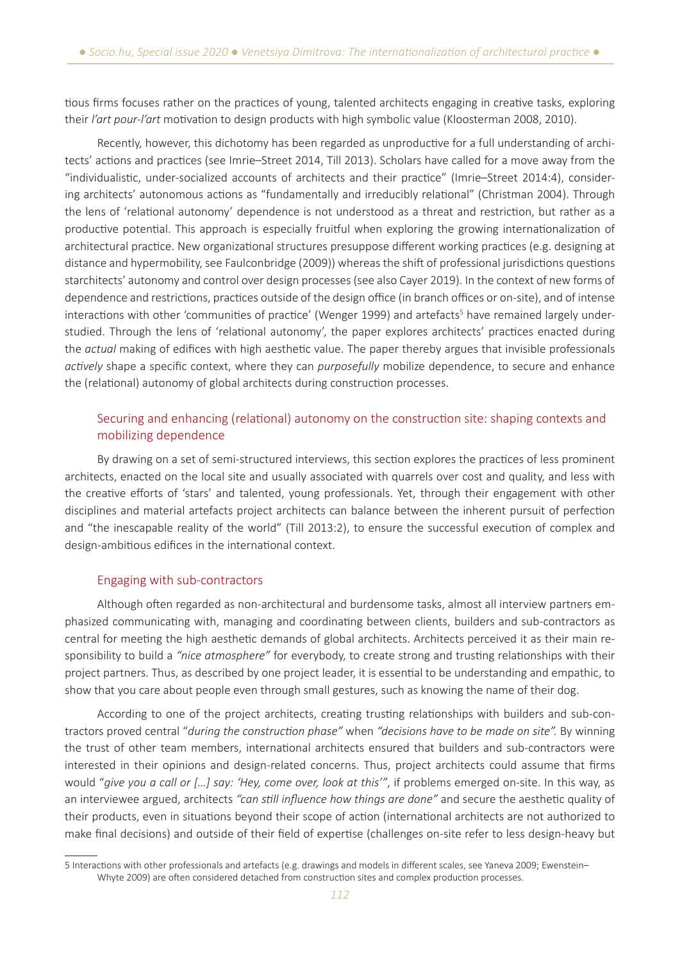tious firms focuses rather on the practices of young, talented architects engaging in creative tasks, exploring their *l'art pour-l'art* motivation to design products with high symbolic value (Kloosterman 2008, 2010).

Recently, however, this dichotomy has been regarded as unproductive for a full understanding of architects' actions and practices (see Imrie–Street 2014, Till 2013). Scholars have called for a move away from the "individualistic, under-socialized accounts of architects and their practice" (Imrie–Street 2014:4), considering architects' autonomous actions as "fundamentally and irreducibly relational" (Christman 2004). Through the lens of 'relational autonomy' dependence is not understood as a threat and restriction, but rather as a productive potential. This approach is especially fruitful when exploring the growing internationalization of architectural practice. New organizational structures presuppose different working practices (e.g. designing at distance and hypermobility, see Faulconbridge (2009)) whereas the shift of professional jurisdictions questions starchitects' autonomy and control over design processes (see also Cayer 2019). In the context of new forms of dependence and restrictions, practices outside of the design office (in branch offices or on-site), and of intense interactions with other 'communities of practice' (Wenger 1999) and artefacts<sup>5</sup> have remained largely understudied. Through the lens of 'relational autonomy', the paper explores architects' practices enacted during the *actual* making of edifices with high aesthetic value. The paper thereby argues that invisible professionals *actively* shape a specific context, where they can *purposefully* mobilize dependence, to secure and enhance the (relational) autonomy of global architects during construction processes.

# Securing and enhancing (relational) autonomy on the construction site: shaping contexts and mobilizing dependence

By drawing on a set of semi-structured interviews, this section explores the practices of less prominent architects, enacted on the local site and usually associated with quarrels over cost and quality, and less with the creative efforts of 'stars' and talented, young professionals. Yet, through their engagement with other disciplines and material artefacts project architects can balance between the inherent pursuit of perfection and "the inescapable reality of the world" (Till 2013:2), to ensure the successful execution of complex and design-ambitious edifices in the international context.

# Engaging with sub-contractors

Although often regarded as non-architectural and burdensome tasks, almost all interview partners emphasized communicating with, managing and coordinating between clients, builders and sub-contractors as central for meeting the high aesthetic demands of global architects. Architects perceived it as their main responsibility to build a *"nice atmosphere"* for everybody, to create strong and trusting relationships with their project partners. Thus, as described by one project leader, it is essential to be understanding and empathic, to show that you care about people even through small gestures, such as knowing the name of their dog.

According to one of the project architects, creating trusting relationships with builders and sub-contractors proved central "*during the construction phase"* when *"decisions have to be made on site".* By winning the trust of other team members, international architects ensured that builders and sub-contractors were interested in their opinions and design-related concerns. Thus, project architects could assume that firms would "*give you a call or […] say: 'Hey, come over, look at this'"*, if problems emerged on-site. In this way, as an interviewee argued, architects *"can still influence how things are done"* and secure the aesthetic quality of their products, even in situations beyond their scope of action (international architects are not authorized to make final decisions) and outside of their field of expertise (challenges on-site refer to less design-heavy but

<sup>5</sup> Interactions with other professionals and artefacts (e.g. drawings and models in different scales, see Yaneva 2009; Ewenstein– Whyte 2009) are often considered detached from construction sites and complex production processes.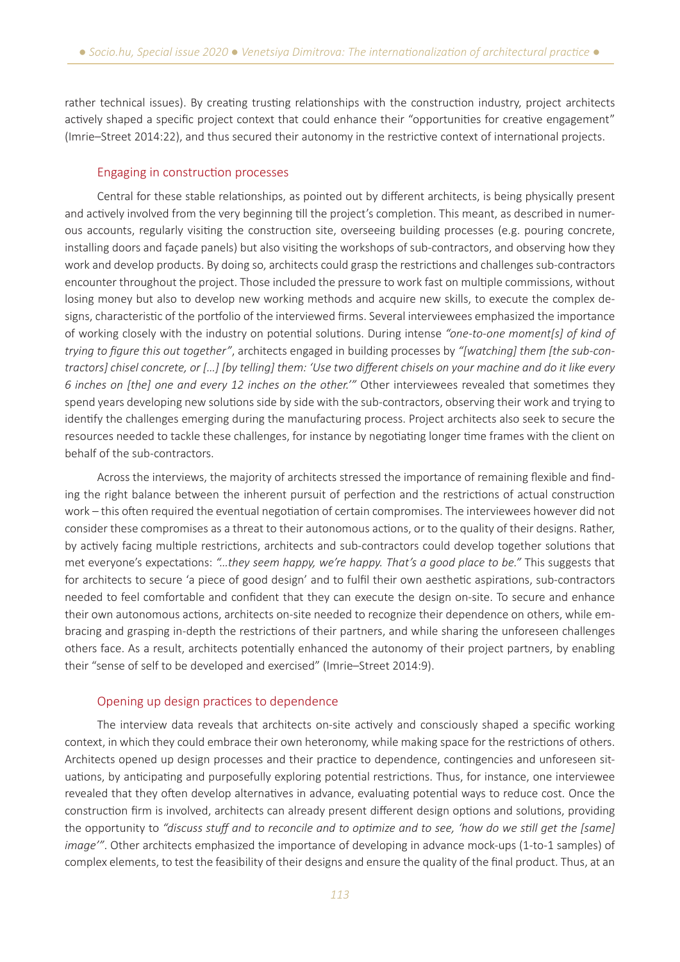rather technical issues). By creating trusting relationships with the construction industry, project architects actively shaped a specific project context that could enhance their "opportunities for creative engagement" (Imrie–Street 2014:22), and thus secured their autonomy in the restrictive context of international projects.

# Engaging in construction processes

Central for these stable relationships, as pointed out by different architects, is being physically present and actively involved from the very beginning till the project's completion. This meant, as described in numerous accounts, regularly visiting the construction site, overseeing building processes (e.g. pouring concrete, installing doors and façade panels) but also visiting the workshops of sub-contractors, and observing how they work and develop products. By doing so, architects could grasp the restrictions and challenges sub-contractors encounter throughout the project. Those included the pressure to work fast on multiple commissions, without losing money but also to develop new working methods and acquire new skills, to execute the complex designs, characteristic of the portfolio of the interviewed firms. Several interviewees emphasized the importance of working closely with the industry on potential solutions. During intense *"one-to-one moment[s] of kind of trying to figure this out together"*, architects engaged in building processes by *"[watching] them [the sub-contractors] chisel concrete, or […] [by telling] them: 'Use two different chisels on your machine and do it like every 6 inches on [the] one and every 12 inches on the other.'"* Other interviewees revealed that sometimes they spend years developing new solutions side by side with the sub-contractors, observing their work and trying to identify the challenges emerging during the manufacturing process. Project architects also seek to secure the resources needed to tackle these challenges, for instance by negotiating longer time frames with the client on behalf of the sub-contractors.

Across the interviews, the majority of architects stressed the importance of remaining flexible and finding the right balance between the inherent pursuit of perfection and the restrictions of actual construction work – this often required the eventual negotiation of certain compromises. The interviewees however did not consider these compromises as a threat to their autonomous actions, or to the quality of their designs. Rather, by actively facing multiple restrictions, architects and sub-contractors could develop together solutions that met everyone's expectations: *"…they seem happy, we're happy. That's a good place to be."* This suggests that for architects to secure 'a piece of good design' and to fulfil their own aesthetic aspirations, sub-contractors needed to feel comfortable and confident that they can execute the design on-site. To secure and enhance their own autonomous actions, architects on-site needed to recognize their dependence on others, while embracing and grasping in-depth the restrictions of their partners, and while sharing the unforeseen challenges others face. As a result, architects potentially enhanced the autonomy of their project partners, by enabling their "sense of self to be developed and exercised" (Imrie–Street 2014:9).

# Opening up design practices to dependence

The interview data reveals that architects on-site actively and consciously shaped a specific working context, in which they could embrace their own heteronomy, while making space for the restrictions of others. Architects opened up design processes and their practice to dependence, contingencies and unforeseen situations, by anticipating and purposefully exploring potential restrictions. Thus, for instance, one interviewee revealed that they often develop alternatives in advance, evaluating potential ways to reduce cost. Once the construction firm is involved, architects can already present different design options and solutions, providing the opportunity to *"discuss stuff and to reconcile and to optimize and to see, 'how do we still get the [same] image'"*. Other architects emphasized the importance of developing in advance mock-ups (1-to-1 samples) of complex elements, to test the feasibility of their designs and ensure the quality of the final product. Thus, at an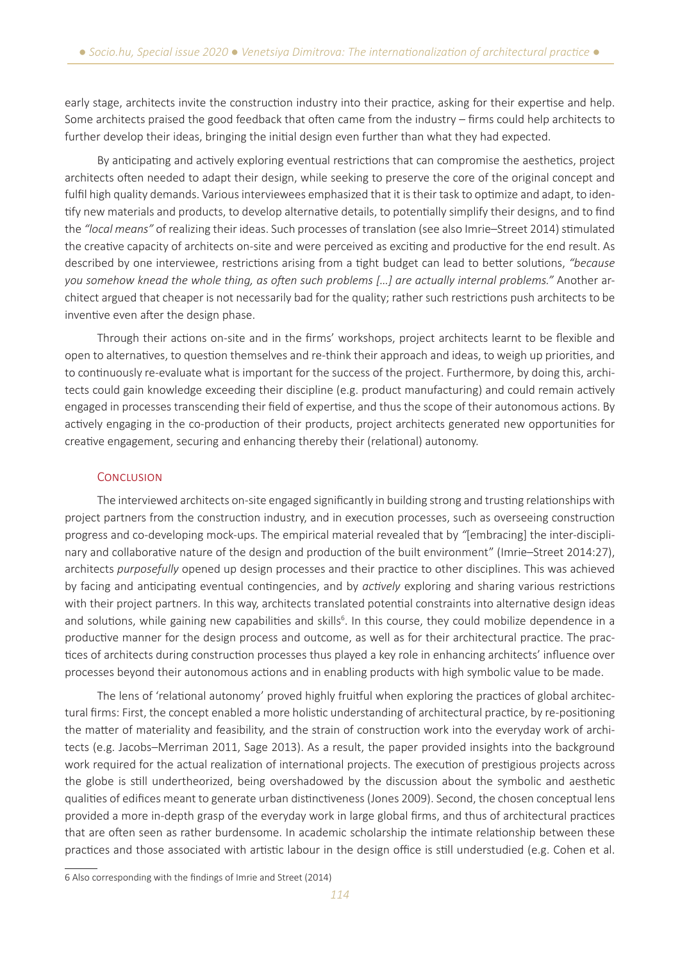early stage, architects invite the construction industry into their practice, asking for their expertise and help. Some architects praised the good feedback that often came from the industry – firms could help architects to further develop their ideas, bringing the initial design even further than what they had expected.

By anticipating and actively exploring eventual restrictions that can compromise the aesthetics, project architects often needed to adapt their design, while seeking to preserve the core of the original concept and fulfil high quality demands. Various interviewees emphasized that it is their task to optimize and adapt, to identify new materials and products, to develop alternative details, to potentially simplify their designs, and to find the *"local means"* of realizing their ideas. Such processes of translation (see also Imrie–Street 2014) stimulated the creative capacity of architects on-site and were perceived as exciting and productive for the end result. As described by one interviewee, restrictions arising from a tight budget can lead to better solutions, *"because you somehow knead the whole thing, as often such problems […] are actually internal problems."* Another architect argued that cheaper is not necessarily bad for the quality; rather such restrictions push architects to be inventive even after the design phase.

Through their actions on-site and in the firms' workshops, project architects learnt to be flexible and open to alternatives, to question themselves and re-think their approach and ideas, to weigh up priorities, and to continuously re-evaluate what is important for the success of the project. Furthermore, by doing this, architects could gain knowledge exceeding their discipline (e.g. product manufacturing) and could remain actively engaged in processes transcending their field of expertise, and thus the scope of their autonomous actions. By actively engaging in the co-production of their products, project architects generated new opportunities for creative engagement, securing and enhancing thereby their (relational) autonomy.

# **CONCLUSION**

The interviewed architects on-site engaged significantly in building strong and trusting relationships with project partners from the construction industry, and in execution processes, such as overseeing construction progress and co-developing mock-ups. The empirical material revealed that by *"*[embracing] the inter-disciplinary and collaborative nature of the design and production of the built environment" (Imrie–Street 2014:27), architects *purposefully* opened up design processes and their practice to other disciplines. This was achieved by facing and anticipating eventual contingencies, and by *actively* exploring and sharing various restrictions with their project partners. In this way, architects translated potential constraints into alternative design ideas and solutions, while gaining new capabilities and skills<sup>6</sup>. In this course, they could mobilize dependence in a productive manner for the design process and outcome, as well as for their architectural practice. The practices of architects during construction processes thus played a key role in enhancing architects' influence over processes beyond their autonomous actions and in enabling products with high symbolic value to be made.

The lens of 'relational autonomy' proved highly fruitful when exploring the practices of global architectural firms: First, the concept enabled a more holistic understanding of architectural practice, by re-positioning the matter of materiality and feasibility, and the strain of construction work into the everyday work of architects (e.g. Jacobs–Merriman 2011, Sage 2013). As a result, the paper provided insights into the background work required for the actual realization of international projects. The execution of prestigious projects across the globe is still undertheorized, being overshadowed by the discussion about the symbolic and aesthetic qualities of edifices meant to generate urban distinctiveness (Jones 2009). Second, the chosen conceptual lens provided a more in-depth grasp of the everyday work in large global firms, and thus of architectural practices that are often seen as rather burdensome. In academic scholarship the intimate relationship between these practices and those associated with artistic labour in the design office is still understudied (e.g. Cohen et al.

<sup>6</sup> Also corresponding with the findings of Imrie and Street (2014)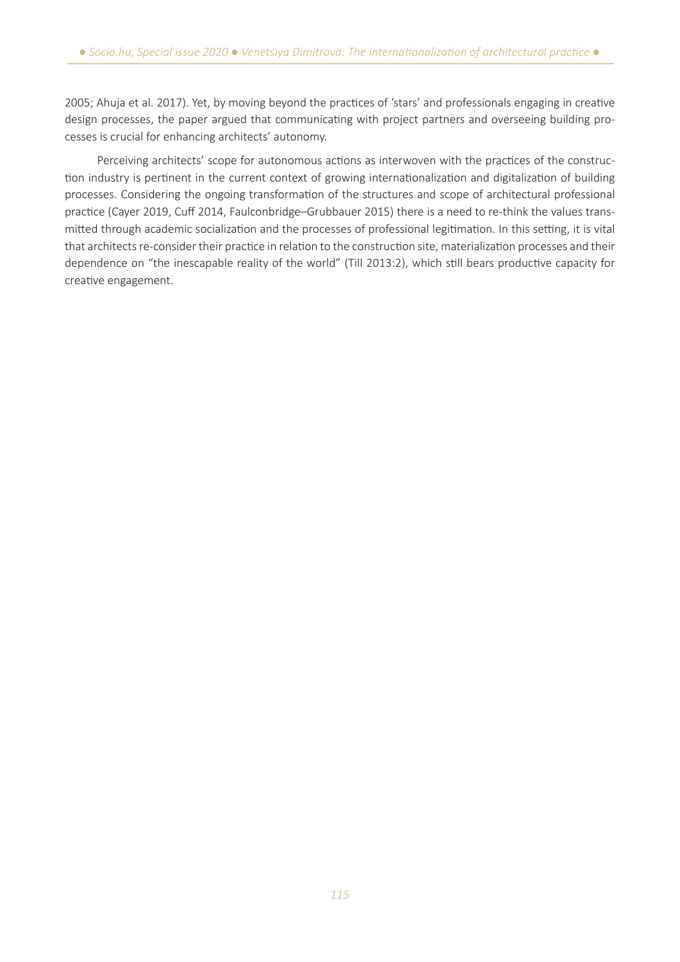2005; Ahuja et al. 2017). Yet, by moving beyond the practices of 'stars' and professionals engaging in creative design processes, the paper argued that communicating with project partners and overseeing building processes is crucial for enhancing architects' autonomy.

Perceiving architects' scope for autonomous actions as interwoven with the practices of the construction industry is pertinent in the current context of growing internationalization and digitalization of building processes. Considering the ongoing transformation of the structures and scope of architectural professional practice (Cayer 2019, Cuff 2014, Faulconbridge–Grubbauer 2015) there is a need to re-think the values transmitted through academic socialization and the processes of professional legitimation. In this setting, it is vital that architects re-consider their practice in relation to the construction site, materialization processes and their dependence on "the inescapable reality of the world" (Till 2013:2), which still bears productive capacity for creative engagement.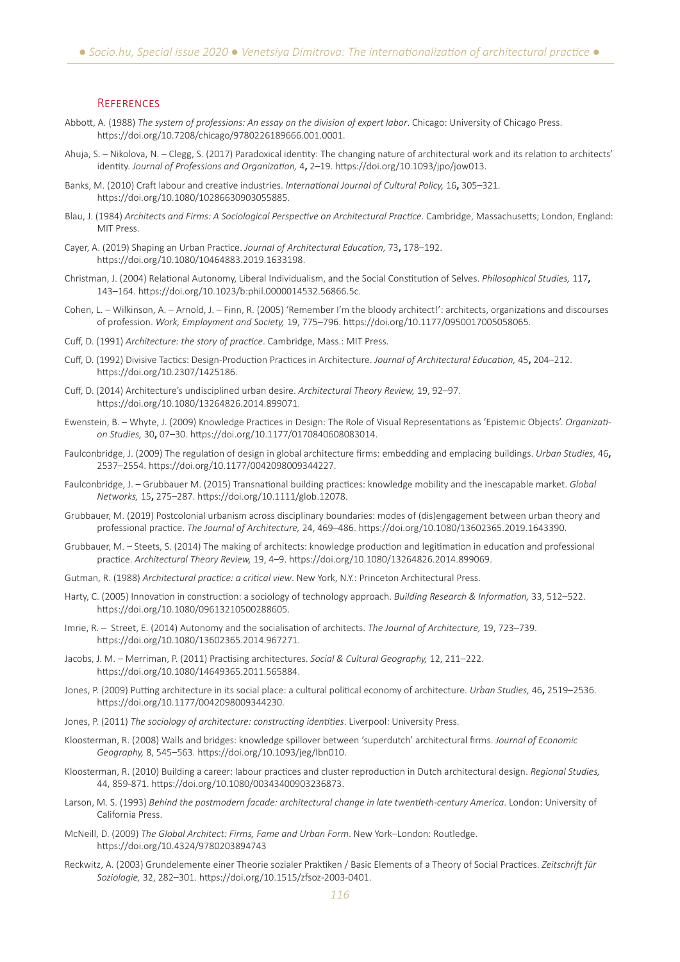#### **REFERENCES**

- Abbott, A. (1988) *The system of professions: An essay on the division of expert labor*. Chicago: University of Chicago Press. https://doi.org/10.7208/chicago/9780226189666.001.0001.
- Ahuja, S. Nikolova, N. Clegg, S. (2017) Paradoxical identity: The changing nature of architectural work and its relation to architects' identity. *Journal of Professions and Organization,* 4**,** 2–19. https://doi.org/10.1093/jpo/jow013.
- Banks, M. (2010) Craft labour and creative industries. *International Journal of Cultural Policy,* 16**,** 305–321. https://doi.org/10.1080/10286630903055885.
- Blau, J. (1984) *Architects and Firms: A Sociological Perspective on Architectural Practice*. Cambridge, Massachusetts; London, England: MIT Press.
- Cayer, A. (2019) Shaping an Urban Practice. *Journal of Architectural Education,* 73**,** 178–192. https://doi.org/10.1080/10464883.2019.1633198.
- Christman, J. (2004) Relational Autonomy, Liberal Individualism, and the Social Constitution of Selves. *Philosophical Studies,* 117**,** 143–164. https://doi.org/10.1023/b:phil.0000014532.56866.5c.
- Cohen, L. Wilkinson, A. Arnold, J. Finn, R. (2005) 'Remember I'm the bloody architect!': architects, organizations and discourses of profession. *Work, Employment and Society,* 19, 775–796. https://doi.org/10.1177/0950017005058065.
- Cuff, D. (1991) *Architecture: the story of practice*. Cambridge, Mass.: MIT Press.
- Cuff, D. (1992) Divisive Tactics: Design-Production Practices in Architecture. *Journal of Architectural Education,* 45**,** 204–212. https://doi.org/10.2307/1425186.
- Cuff, D. (2014) Architecture's undisciplined urban desire. *Architectural Theory Review,* 19, 92–97. https://doi.org/10.1080/13264826.2014.899071.
- Ewenstein, B. Whyte, J. (2009) Knowledge Practices in Design: The Role of Visual Representations as 'Epistemic Objects'. *Organization Studies,* 30**,** 07–30. https://doi.org/10.1177/0170840608083014.
- Faulconbridge, J. (2009) The regulation of design in global architecture firms: embedding and emplacing buildings. *Urban Studies,* 46**,** 2537–2554. https://doi.org/10.1177/0042098009344227.
- Faulconbridge, J. Grubbauer M. (2015) Transnational building practices: knowledge mobility and the inescapable market. *Global Networks,* 15**,** 275–287. https://doi.org/10.1111/glob.12078.
- Grubbauer, M. (2019) Postcolonial urbanism across disciplinary boundaries: modes of (dis)engagement between urban theory and professional practice. *The Journal of Architecture,* 24, 469–486. https://doi.org/10.1080/13602365.2019.1643390.
- Grubbauer, M. Steets, S. (2014) The making of architects: knowledge production and legitimation in education and professional practice. *Architectural Theory Review,* 19, 4–9. https://doi.org/10.1080/13264826.2014.899069.
- Gutman, R. (1988) *Architectural practice: a critical view*. New York, N.Y.: Princeton Architectural Press.
- Harty, C. (2005) Innovation in construction: a sociology of technology approach. *Building Research & Information,* 33, 512–522. https://doi.org/10.1080/09613210500288605.
- Imrie, R. Street, E. (2014) Autonomy and the socialisation of architects. *The Journal of Architecture,* 19, 723–739. https://doi.org/10.1080/13602365.2014.967271.
- Jacobs, J. M. Merriman, P. (2011) Practising architectures. *Social & Cultural Geography,* 12, 211–222. https://doi.org/10.1080/14649365.2011.565884.
- Jones, P. (2009) Putting architecture in its social place: a cultural political economy of architecture. *Urban Studies,* 46**,** 2519–2536. https://doi.org/10.1177/0042098009344230.
- Jones, P. (2011) *The sociology of architecture: constructing identities*. Liverpool: University Press.
- Kloosterman, R. (2008) Walls and bridges: knowledge spillover between 'superdutch' architectural firms. *Journal of Economic Geography,* 8, 545–563. https://doi.org/10.1093/jeg/lbn010.
- Kloosterman, R. (2010) Building a career: labour practices and cluster reproduction in Dutch architectural design. *Regional Studies,* 44, 859-871. https://doi.org/10.1080/00343400903236873.
- Larson, M. S. (1993) *Behind the postmodern facade: architectural change in late twentieth-century America*. London: University of California Press.
- McNeill, D. (2009) *The Global Architect: Firms, Fame and Urban Form*. New York–London: Routledge. https://doi.org/10.4324/9780203894743
- Reckwitz, A. (2003) Grundelemente einer Theorie sozialer Praktiken / Basic Elements of a Theory of Social Practices. *Zeitschrift für Soziologie,* 32, 282–301. https://doi.org/10.1515/zfsoz-2003-0401.